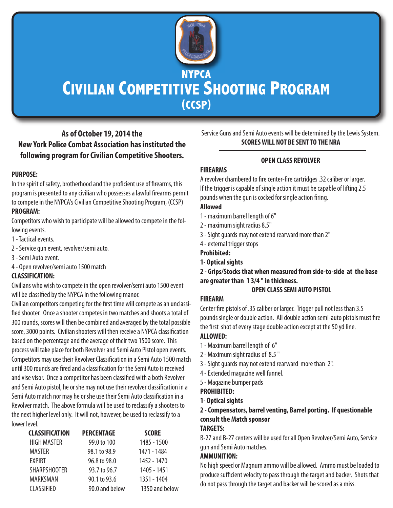

# **CIVILIAN COMPETITIVE SHOOTING PROGRAM (CCSP)**

# **As of October 19, 2014 the New York Police Combat Association has instituted the following program for Civilian Competitive Shooters.**

# **PURPOSE:**

In the spirit of safety, brotherhood and the proficient use of firearms, this program is presented to any civilian who possesses a lawful firearms permit to compete in the NYPCA's Civilian Competitive Shooting Program, (CCSP) **PROGRAM:**

Competitors who wish to participate will be allowed to compete in the following events.

- 1 Tactical events.
- 2 Service gun event, revolver/semi auto.
- 3 Semi Auto event.
- 4 Open revolver/semi auto 1500 match

# **CLASSIFICATION:**

Civilians who wish to compete in the open revolver/semi auto 1500 event will be classified by the NYPCA in the following manor.

Civilian competitors competing for the first time will compete as an unclassified shooter. Once a shooter competes in two matches and shoots a total of 300 rounds, scores will then be combined and averaged by the total possible score, 3000 points. Civilian shooters will then receive a NYPCA classification based on the percentage and the average of their two 1500 score. This process will take place for both Revolver and Semi Auto Pistol open events. Competitors may use their Revolver Classification in a Semi Auto 1500 match until 300 rounds are fired and a classification for the Semi Auto is received and vise visor. Once a competitor has been classified with a both Revolver and Semi Auto pistol, he or she may not use their revolver classification in a Semi Auto match nor may he or she use their Semi Auto classification in a Revolver match. The above formula will be used to reclassify a shooters to the next higher level only. It will not, however, be used to reclassify to a lower level.

| <b>CLASSIFICATION</b> | <b>PERCENTAGE</b> | <b>SCORE</b>   |
|-----------------------|-------------------|----------------|
| <b>HIGH MASTER</b>    | 99.0 to 100       | 1485 - 1500    |
| <b>MASTER</b>         | 98.1 to 98.9      | 1471 - 1484    |
| <b>EXPIRT</b>         | 96.8 to 98.0      | 1452 - 1470    |
| <b>SHARPSHOOTER</b>   | 93.7 to 96.7      | 1405 - 1451    |
| MARKSMAN              | 90.1 to 93.6      | 1351 - 1404    |
| <b>CLASSIFIED</b>     | 90.0 and below    | 1350 and below |

Service Guns and Semi Auto events will be determined by the Lewis System. **SCORES WILL NOT BE SENT TO THE NRA**

# **OPEN CLASS REVOLVER**

# **FIREARMS**

A revolver chambered to fire center-fire cartridges .32 caliber or larger. If the trigger is capable of single action it must be capable of lifting 2.5 pounds when the gun is cocked for single action firing.

# **Allowed**

- 1 maximum barrel length of 6"
- 2 maximum sight radius 8.5"
- 3 Sight guards may not extend rearward more than 2"
- 4 external trigger stops
- **Prohibited:**
- **1- Optical sights**

**2 - Grips/Stocks that when measured from side-to-side at the base are greater than 1 3/4 " in thickness.**

# **OPEN CLASS SEMI AUTO PISTOL**

# **FIREARM**

Center fire pistols of .35 caliber or larger. Trigger pull not less than 3.5 pounds single or double action. All double action semi-auto pistols must fire the first shot of every stage double action except at the 50 yd line.

# **ALLOWED:**

- 1 Maximum barrel length of 6"
- 2 Maximum sight radius of 8.5 "
- 3 Sight guards may not extend rearward more than 2".
- 4 Extended magazine well funnel.
- 5 Magazine bumper pads

# **PROHIBITED:**

**1- Optical sights**

# **2 - Compensators, barrel venting, Barrel porting. If questionable consult the Match sponsor**

### **TARGETS:**

B-27 and B-27 centers will be used for all Open Revolver/Semi Auto, Service gun and Semi Auto matches.

# **AMMUNITION:**

No high speed or Magnum ammo will be allowed. Ammo must be loaded to produce sufficient velocity to pass through the target and backer. Shots that do not pass through the target and backer will be scored as a miss.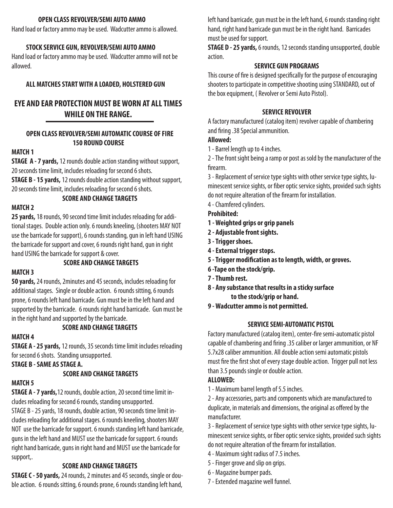#### **OPEN CLASS REVOLVER/SEMI AUTO AMMO**

Hand load or factory ammo may be used. Wadcutter ammo is allowed.

#### **STOCK SERVICE GUN, REVOLVER/SEMI AUTO AMMO**

Hand load or factory ammo may be used. Wadcutter ammo will not be allowed.

#### **ALL MATCHES START WITH A LOADED, HOLSTERED GUN**

# **EYE AND EAR PROTECTION MUST BE WORN AT ALL TIMES WHILE ON THE RANGE.**

#### **OPEN CLASS REVOLVER/SEMI AUTOMATIC COURSE OF FIRE 150 ROUND COURSE**

#### **MATCH 1**

**STAGE A - 7 yards,**12 rounds double action standing without support, 20 seconds time limit, includes reloading for second 6 shots. **STAGE B - 15 yards,** 12 rounds double action standing without support, 20 seconds time limit, includes reloading for second 6 shots.

#### **SCORE AND CHANGE TARGETS**

#### **MATCH 2**

**25 yards,** 18 rounds, 90 second time limit includes reloading for additional stages. Double action only. 6 rounds kneeling, (shooters MAY NOT use the barricade for support), 6 rounds standing, gun in left hand USING the barricade for support and cover, 6 rounds right hand, gun in right hand USING the barricade for support & cover.

# **MATCH 3**

**SCORE AND CHANGE TARGETS**

**50 yards,**24 rounds, 2minutes and 45 seconds, includes reloading for additional stages. Single or double action. 6 rounds sitting, 6 rounds prone, 6 rounds left hand barricade. Gun must be in the left hand and supported by the barricade. 6 rounds right hand barricade. Gun must be in the right hand and supported by the barricade.

#### **SCORE AND CHANGE TARGETS**

#### **MATCH 4**

**STAGE A - 25 yards,** 12 rounds, 35 seconds time limit includes reloading for second 6 shots. Standing unsupported.

**STAGE B - SAME AS STAGE A.**

#### **SCORE AND CHANGE TARGETS**

#### **MATCH 5**

**STAGE A - 7 yards,**12 rounds, double action, 20 second time limit includes reloading for second 6 rounds, standing unsupported. STAGE B - 25 yards, 18 rounds, double action, 90 seconds time limit includes reloading for additional stages. 6 rounds kneeling, shooters MAY NOT use the barricade for support. 6 rounds standing left hand barricade, guns in the left hand and MUST use the barricade for support. 6 rounds right hand barricade, guns in right hand and MUST use the barricade for support,.

#### **SCORE AND CHANGE TARGETS**

**STAGE C - 50 yards,**24 rounds, 2 minutes and 45 seconds, single or double action. 6 rounds sitting, 6 rounds prone, 6 rounds standing left hand, left hand barricade, gun must be in the left hand, 6 rounds standing right hand, right hand barricade gun must be in the right hand. Barricades must be used for support.

**STAGE D - 25 yards,** 6 rounds, 12 seconds standing unsupported, double action.

#### **SERVICE GUN PROGRAMS**

This course of fire is designed specifically for the purpose of encouraging shooters to participate in competitive shooting using STANDARD, out of the box equipment, ( Revolver or Semi Auto Pistol).

#### **SERVICE REVOLVER**

A factory manufactured (catalog item) revolver capable of chambering and firing .38 Special ammunition.

#### **Allowed:**

1 - Barrel length up to 4 inches.

2 - The front sight being a ramp or post as sold by the manufacturer of the firearm.

3 - Replacement of service type sights with other service type sights, luminescent service sights, or fiber optic service sights, provided such sights do not require alteration of the firearm for installation.

4 - Chamfered cylinders.

**Prohibited:**

- **1 Weighted grips or grip panels**
- **2 Adjustable front sights.**
- **3 Trigger shoes.**
- **4 External trigger stops.**
- **5 Trigger modification as to length, width, or groves.**
- **6 -Tape on the stock/grip.**
- **7 Thumb rest.**
- **8 Any substance that results in a sticky surface to the stock/grip or hand.**
- **9 Wadcutter ammo is not permitted.**

#### **SERVICE SEMI-AUTOMATIC PISTOL**

Factory manufactured (catalog item), center-fire semi-automatic pistol capable of chambering and firing .35 caliber or larger ammunition, or NF 5.7x28 caliber ammunition. All double action semi automatic pistols must fire the first shot of every stage double action. Trigger pull not less than 3.5 pounds single or double action.

#### **ALLOWED:**

1 - Maximum barrel length of 5.5 inches.

2 - Any accessories, parts and components which are manufactured to duplicate, in materials and dimensions, the original as offered by the manufacturer.

3 - Replacement of service type sights with other service type sights, luminescent service sights, or fiber optic service sights, provided such sights do not require alteration of the firearm for installation.

- 4 Maximum sight radius of 7.5 inches.
- 5 Finger grove and slip on grips.
- 6 Magazine bumper pads.
- 7 Extended magazine well funnel.